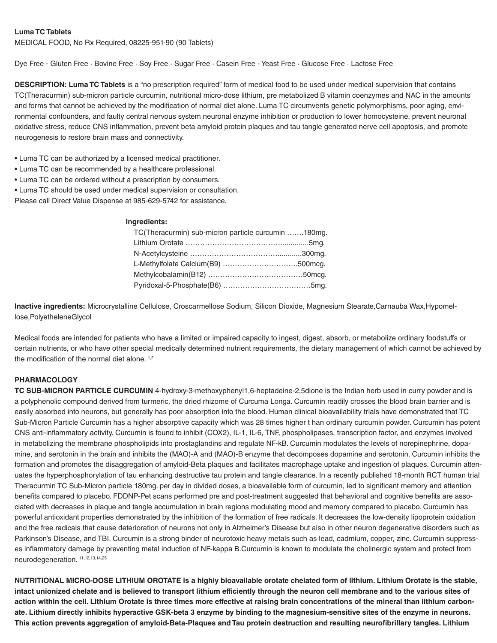## **Luma TC Tablets**

MEDICAL FOOD, No Rx Required, 08225-951-90 (90 Tablets)

Dye Free - Gluten Free · Bovine Free · Soy Free · Sugar Free · Casein Free - Yeast Free · Glucose Free · Lactose Free

**DESCRIPTION: Luma TC Tablets** is a "no prescription required" form of medical food to be used under medical supervision that contains TC(Theracurmin) sub-micron particle curcumin, nutritional micro-dose lithium, pre metabolized B vitamin coenzymes and NAC in the amounts and forms that cannot be achieved by the modification of normal diet alone. Luma TC circumvents genetic polymorphisms, poor aging, environmental confounders, and faulty central nervous system neuronal enzyme inhibition or production to lower homocysteine, prevent neuronal oxidative stress, reduce CNS inflammation, prevent beta amyloid protein plaques and tau tangle generated nerve cell apoptosis, and promote neurogenesis to restore brain mass and connectivity.

- Luma TC can be authorized by a licensed medical practitioner.
- Luma TC can be recommended by a healthcare professional.
- Luma TC can be ordered without a prescription by consumers.
- Luma TC should be used under medical supervision or consultation.

Please call Direct Value Dispense at 985-629-5742 for assistance.

#### **Ingredients:**

| TC(Theracurmin) sub-micron particle curcumin 180mg. |  |
|-----------------------------------------------------|--|
|                                                     |  |
|                                                     |  |
| L-Methylfolate Calcium(B9) 500mcg.                  |  |
|                                                     |  |
|                                                     |  |

**Inactive ingredients:** Microcrystalline Cellulose, Croscarmellose Sodium, Silicon Dioxide, Magnesium Stearate,Carnauba Wax,Hypomellose,PolyetheleneGlycol

Medical foods are intended for patients who have a limited or impaired capacity to ingest, digest, absorb, or metabolize ordinary foodstuffs or certain nutrients, or who have other special medically determined nutrient requirements, the dietary management of which cannot be achieved by the modification of the normal diet alone.  $1,2$ 

## **PHARMACOLOGY**

**TC SUB-MICRON PARTICLE CURCUMIN** 4-hydroxy-3-methoxyphenyl1,6-heptadeine-2,5dione is the Indian herb used in curry powder and is a polyphenolic compound derived from turmeric, the dried rhizome of Curcuma Longa. Curcumin readily crosses the blood brain barrier and is easily absorbed into neurons, but generally has poor absorption into the blood. Human clinical bioavailability trials have demonstrated that TC Sub-Micron Particle Curcumin has a higher absorptive capacity which was 28 times higher t han ordinary curcumin powder. Curcumin has potent CNS anti-inflammatory activity. Curcumin is found to inhibit (COX2), IL-1, IL-6, TNF, phospholipases, transcription factor, and enzymes involved in metabolizing the membrane phospholipids into prostaglandins and regulate NF-kB. Curcumin modulates the levels of norepinephrine, dopamine, and serotonin in the brain and inhibits the (MAO)-A and (MAO)-B enzyme that decomposes dopamine and serotonin. Curcumin inhibits the formation and promotes the disaggregation of amyloid-Beta plaques and facilitates macrophage uptake and ingestion of plaques. Curcumin attenuates the hyperphosphorylation of tau enhancing destructive tau protein and tangle clearance. In a recently published 18-month RCT human trial Theracurmin TC Sub-Micron particle 180mg. per day in divided doses, a bioavailable form of curcumin, led to significant memory and attention benefits compared to placebo. FDDNP-Pet scans performed pre and post-treatment suggested that behavioral and cognitive benefits are associated with decreases in plaque and tangle accumulation in brain regions modulating mood and memory compared to placebo. Curcumin has powerful antioxidant properties demonstrated by the inhibition of the formation of free radicals. It decreases the low-density lipoprotein oxidation and the free radicals that cause deterioration of neurons not only in Alzheimer's Disease but also in other neuron degenerative disorders such as Parkinson's Disease, and TBI. Curcumin is a strong binder of neurotoxic heavy metals such as lead, cadmium, copper, zinc. Curcumin suppresses inflammatory damage by preventing metal induction of NF-kappa B.Curcumin is known to modulate the cholinergic system and protect from neurodegeneration. 11,12,13,14,25

**NUTRITIONAL MICRO-DOSE LITHIUM OROTATE is a highly bioavailable orotate chelated form of lithium. Lithium Orotate is the stable, intact unionized chelate and is believed to transport lithium efficiently through the neuron cell membrane and to the various sites of action within the cell. Lithium Orotate is three times more effective at raising brain concentrations of the mineral than lithium carbonate. Lithium directly inhibits hyperactive GSK-beta 3 enzyme by binding to the magnesium-sensitive sites of the enzyme in neurons. This action prevents aggregation of amyloid-Beta-Plaques and Tau protein destruction and resulting neurofibrillary tangles. Lithium**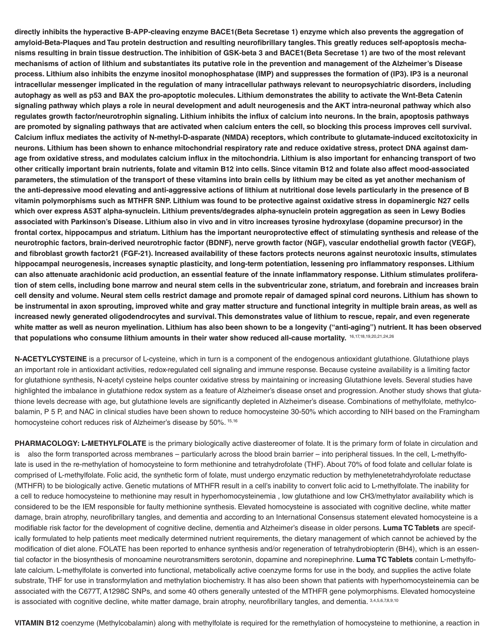**directly inhibits the hyperactive B-APP-cleaving enzyme BACE1(Beta Secretase 1) enzyme which also prevents the aggregation of amyloid-Beta-Plaques and Tau protein destruction and resulting neurofibrillary tangles. This greatly reduces self-apoptosis mechanisms resulting in brain tissue destruction. The inhibition of GSK-beta 3 and BACE1(Beta Secretase 1) are two of the most relevant mechanisms of action of lithium and substantiates its putative role in the prevention and management of the Alzheimer's Disease process. Lithium also inhibits the enzyme inositol monophosphatase (IMP) and suppresses the formation of (IP3). IP3 is a neuronal intracellular messenger implicated in the regulation of many intracellular pathways relevant to neuropsychiatric disorders, including autophagy as well as p53 and BAX the pro-apoptotic molecules. Lithium demonstrates the ability to activate the Wnt-Beta Catenin signaling pathway which plays a role in neural development and adult neurogenesis and the AKT intra-neuronal pathway which also regulates growth factor/neurotrophin signaling. Lithium inhibits the influx of calcium into neurons. In the brain, apoptosis pathways are promoted by signaling pathways that are activated when calcium enters the cell, so blocking this process improves cell survival. Calcium influx mediates the activity of N-methyl-D-asparate (NMDA) receptors, which contribute to glutamate-induced excitotoxicity in neurons. Lithium has been shown to enhance mitochondrial respiratory rate and reduce oxidative stress, protect DNA against damage from oxidative stress, and modulates calcium influx in the mitochondria. Lithium is also important for enhancing transport of two other critically important brain nutrients, folate and vitamin B12 into cells. Since vitamin B12 and folate also affect mood-associated parameters, the stimulation of the transport of these vitamins into brain cells by lithium may be cited as yet another mechanism of the anti-depressive mood elevating and anti-aggressive actions of lithium at nutritional dose levels particularly in the presence of B vitamin polymorphisms such as MTHFR SNP. Lithium was found to be protective against oxidative stress in dopaminergic N27 cells which over express A53T alpha-synuclein. Lithium prevents/degrades alpha-synuclein protein aggregation as seen in Lewy Bodies associated with Parkinson's Disease. Lithium also in vivo and in vitro increases tyrosine hydroxylase (dopamine precursor) in the frontal cortex, hippocampus and striatum. Lithium has the important neuroprotective effect of stimulating synthesis and release of the neurotrophic factors, brain-derived neurotrophic factor (BDNF), nerve growth factor (NGF), vascular endothelial growth factor (VEGF), and fibroblast growth factor21 (FGF-21). Increased availability of these factors protects neurons against neurotoxic insults, stimulates hippocampal neurogenesis, increases synaptic plasticity, and long-term potentiation, lessening pro inflammatory responses. Lithium can also attenuate arachidonic acid production, an essential feature of the innate inflammatory response. Lithium stimulates proliferation of stem cells, including bone marrow and neural stem cells in the subventricular zone, striatum, and forebrain and increases brain cell density and volume. Neural stem cells restrict damage and promote repair of damaged spinal cord neurons. Lithium has shown to be instrumental in axon sprouting, improved white and gray matter structure and functional integrity in multiple brain areas, as well as increased newly generated oligodendrocytes and survival. This demonstrates value of lithium to rescue, repair, and even regenerate white matter as well as neuron myelination. Lithium has also been shown to be a longevity ("anti-aging") nutrient. It has been observed that populations who consume lithium amounts in their water show reduced all-cause mortality.** 16,17,18,19,20,21,24,26

**N-ACETYLCYSTEINE** is a precursor of L-cysteine, which in turn is a component of the endogenous antioxidant glutathione. Glutathione plays an important role in antioxidant activities, redox-regulated cell signaling and immune response. Because cysteine availability is a limiting factor for glutathione synthesis, N-acetyl cysteine helps counter oxidative stress by maintaining or increasing Glutathione levels. Several studies have highlighted the imbalance in glutathione redox system as a feature of Alzheimer's disease onset and progression. Another study shows that glutathione levels decrease with age, but glutathione levels are significantly depleted in Alzheimer's disease. Combinations of methylfolate, methylcobalamin, P 5 P, and NAC in clinical studies have been shown to reduce homocysteine 30-50% which according to NIH based on the Framingham homocysteine cohort reduces risk of Alzheimer's disease by 50%. 15,16

**PHARMACOLOGY: L-METHYLFOLATE** is the primary biologically active diastereomer of folate. It is the primary form of folate in circulation and is also the form transported across membranes – particularly across the blood brain barrier – into peripheral tissues. In the cell, L-methylfolate is used in the re-methylation of homocysteine to form methionine and tetrahydrofolate (THF). About 70% of food folate and cellular folate is comprised of L-methylfolate. Folic acid, the synthetic form of folate, must undergo enzymatic reduction by methylenetetrahdyrofolate reductase (MTHFR) to be biologically active. Genetic mutations of MTHFR result in a cell's inability to convert folic acid to L-methylfolate. The inability for a cell to reduce homocysteine to methionine may result in hyperhomocysteinemia , low glutathione and low CH3/methylator availability which is considered to be the IEM responsible for faulty methionine synthesis. Elevated homocysteine is associated with cognitive decline, white matter damage, brain atrophy, neurofibrillary tangles, and dementia and according to an International Consensus statement elevated homocysteine is a modifiable risk factor for the development of cognitive decline, dementia and Alzheimer's disease in older persons. **Luma TC Tablets** are specifically formulated to help patients meet medically determined nutrient requirements, the dietary management of which cannot be achieved by the modification of diet alone. FOLATE has been reported to enhance synthesis and/or regeneration of tetrahydrobiopterin (BH4), which is an essential cofactor in the biosynthesis of monoamine neurotransmitters serotonin, dopamine and norepinephrine. **Luma TC Tablets** contain L-methylfolate calcium. L-methylfolate is converted into functional, metabolically active coenzyme forms for use in the body, and supplies the active folate substrate, THF for use in transformylation and methylation biochemistry. It has also been shown that patients with hyperhomocysteinemia can be associated with the C677T, A1298C SNPs, and some 40 others generally untested of the MTHFR gene polymorphisms. Elevated homocysteine is associated with cognitive decline, white matter damage, brain atrophy, neurofibrillary tangles, and dementia. 3,4,5,6,7,8,9,10

**VITAMIN B12** coenzyme (Methylcobalamin) along with methylfolate is required for the remethylation of homocysteine to methionine, a reaction in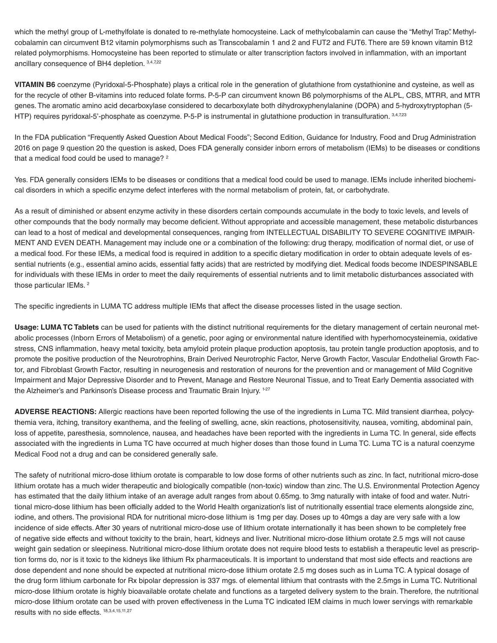which the methyl group of L-methylfolate is donated to re-methylate homocysteine. Lack of methylcobalamin can cause the "Methyl Trap". Methylcobalamin can circumvent B12 vitamin polymorphisms such as Transcobalamin 1 and 2 and FUT2 and FUT6. There are 59 known vitamin B12 related polymorphisms. Homocysteine has been reported to stimulate or alter transcription factors involved in inflammation, with an important ancillary consequence of BH4 depletion. 3,4,7,22

**VITAMIN B6** coenzyme (Pyridoxal-5-Phosphate) plays a critical role in the generation of glutathione from cystathionine and cysteine, as well as for the recycle of other B-vitamins into reduced folate forms. P-5-P can circumvent known B6 polymorphisms of the ALPL, CBS, MTRR, and MTR genes. The aromatic amino acid decarboxylase considered to decarboxylate both dihydroxyphenylalanine (DOPA) and 5-hydroxytryptophan (5- HTP) requires pyridoxal-5'-phosphate as coenzyme. P-5-P is instrumental in glutathione production in transulfuration. 3,4,7,23

In the FDA publication "Frequently Asked Question About Medical Foods"; Second Edition, Guidance for Industry, Food and Drug Administration 2016 on page 9 question 20 the question is asked, Does FDA generally consider inborn errors of metabolism (IEMs) to be diseases or conditions that a medical food could be used to manage? <sup>2</sup>

Yes. FDA generally considers IEMs to be diseases or conditions that a medical food could be used to manage. IEMs include inherited biochemical disorders in which a specific enzyme defect interferes with the normal metabolism of protein, fat, or carbohydrate.

As a result of diminished or absent enzyme activity in these disorders certain compounds accumulate in the body to toxic levels, and levels of other compounds that the body normally may become deficient. Without appropriate and accessible management, these metabolic disturbances can lead to a host of medical and developmental consequences, ranging from INTELLECTUAL DISABILITY TO SEVERE COGNITIVE IMPAIR-MENT AND EVEN DEATH. Management may include one or a combination of the following: drug therapy, modification of normal diet, or use of a medical food. For these IEMs, a medical food is required in addition to a specific dietary modification in order to obtain adequate levels of essential nutrients (e.g., essential amino acids, essential fatty acids) that are restricted by modifying diet. Medical foods become INDESPINSABLE for individuals with these IEMs in order to meet the daily requirements of essential nutrients and to limit metabolic disturbances associated with those particular IEMs.<sup>2</sup>

The specific ingredients in LUMA TC address multiple IEMs that affect the disease processes listed in the usage section.

**Usage: LUMA TC Tablets** can be used for patients with the distinct nutritional requirements for the dietary management of certain neuronal metabolic processes (Inborn Errors of Metabolism) of a genetic, poor aging or environmental nature identified with hyperhomocysteinemia, oxidative stress, CNS inflammation, heavy metal toxicity, beta amyloid protein plaque production apoptosis, tau protein tangle production apoptosis, and to promote the positive production of the Neurotrophins, Brain Derived Neurotrophic Factor, Nerve Growth Factor, Vascular Endothelial Growth Factor, and Fibroblast Growth Factor, resulting in neurogenesis and restoration of neurons for the prevention and or management of Mild Cognitive Impairment and Major Depressive Disorder and to Prevent, Manage and Restore Neuronal Tissue, and to Treat Early Dementia associated with the Alzheimer's and Parkinson's Disease process and Traumatic Brain Injury. 1-27

**ADVERSE REACTIONS:** Allergic reactions have been reported following the use of the ingredients in Luma TC. Mild transient diarrhea, polycythemia vera, itching, transitory exanthema, and the feeling of swelling, acne, skin reactions, photosensitivity, nausea, vomiting, abdominal pain, loss of appetite, paresthesia, somnolence, nausea, and headaches have been reported with the ingredients in Luma TC. In general, side effects associated with the ingredients in Luma TC have occurred at much higher doses than those found in Luma TC. Luma TC is a natural coenzyme Medical Food not a drug and can be considered generally safe.

The safety of nutritional micro-dose lithium orotate is comparable to low dose forms of other nutrients such as zinc. In fact, nutritional micro-dose lithium orotate has a much wider therapeutic and biologically compatible (non-toxic) window than zinc. The U.S. Environmental Protection Agency has estimated that the daily lithium intake of an average adult ranges from about 0.65mg. to 3mg naturally with intake of food and water. Nutritional micro-dose lithium has been officially added to the World Health organization's list of nutritionally essential trace elements alongside zinc, iodine, and others. The provisional RDA for nutritional micro-dose lithium is 1mg per day. Doses up to 40mgs a day are very safe with a low incidence of side effects. After 30 years of nutritional micro-dose use of lithium orotate internationally it has been shown to be completely free of negative side effects and without toxicity to the brain, heart, kidneys and liver. Nutritional micro-dose lithium orotate 2.5 mgs will not cause weight gain sedation or sleepiness. Nutritional micro-dose lithium orotate does not require blood tests to establish a therapeutic level as prescription forms do, nor is it toxic to the kidneys like lithium Rx pharmaceuticals. It is important to understand that most side effects and reactions are dose dependent and none should be expected at nutritional micro-dose lithium orotate 2.5 mg doses such as in Luma TC. A typical dosage of the drug form lithium carbonate for Rx bipolar depression is 337 mgs. of elemental lithium that contrasts with the 2.5mgs in Luma TC. Nutritional micro-dose lithium orotate is highly bioavailable orotate chelate and functions as a targeted delivery system to the brain. Therefore, the nutritional micro-dose lithium orotate can be used with proven effectiveness in the Luma TC indicated IEM claims in much lower servings with remarkable results with no side effects. 18,3,4,15,11,27